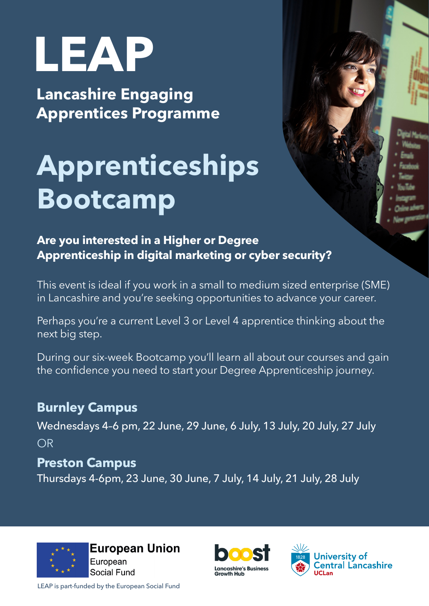# **LEAP**

**Lancashire Engaging Apprentices Programme**

# **Apprenticeships Bootcamp**

**Are you interested in a Higher or Degree Apprenticeship in digital marketing or cyber security?**

This event is ideal if you work in a small to medium sized enterprise (SME) in Lancashire and you're seeking opportunities to advance your career.

Perhaps you're a current Level 3 or Level 4 apprentice thinking about the next big step.

During our six-week Bootcamp you'll learn all about our courses and gain the confidence you need to start your Degree Apprenticeship journey.

## **Burnley Campus**

Wednesdays 4–6 pm, 22 June, 29 June, 6 July, 13 July, 20 July, 27 July OR

### **Preston Campus**

Thursdays 4-6pm, 23 June, 30 June, 7 July, 14 July, 21 July, 28 July







LEAP is part-funded by the European Social Fund



- 
-